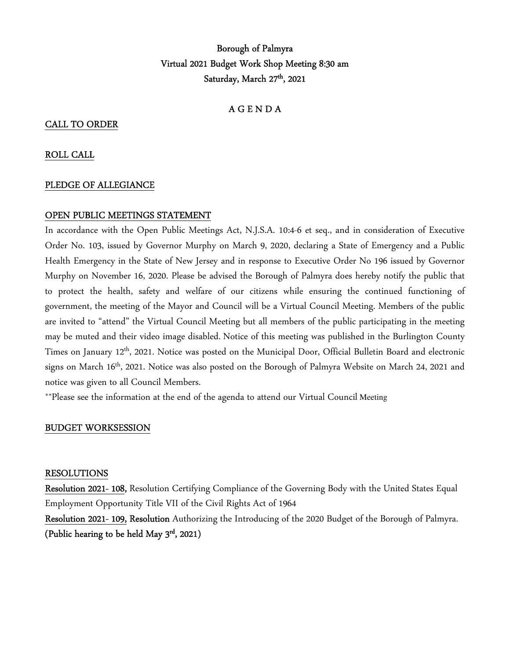# Borough of Palmyra Virtual 2021 Budget Work Shop Meeting 8:30 am Saturday, March 27<sup>th</sup>, 2021

## A G E N D A

#### CALL TO ORDER

#### ROLL CALL

#### PLEDGE OF ALLEGIANCE

#### OPEN PUBLIC MEETINGS STATEMENT

In accordance with the Open Public Meetings Act, N.J.S.A. 10:4-6 et seq., and in consideration of Executive Order No. 103, issued by Governor Murphy on March 9, 2020, declaring a State of Emergency and a Public Health Emergency in the State of New Jersey and in response to Executive Order No 196 issued by Governor Murphy on November 16, 2020. Please be advised the Borough of Palmyra does hereby notify the public that to protect the health, safety and welfare of our citizens while ensuring the continued functioning of government, the meeting of the Mayor and Council will be a Virtual Council Meeting. Members of the public are invited to "attend" the Virtual Council Meeting but all members of the public participating in the meeting may be muted and their video image disabled. Notice of this meeting was published in the Burlington County Times on January 12<sup>th</sup>, 2021. Notice was posted on the Municipal Door, Official Bulletin Board and electronic signs on March 16th, 2021. Notice was also posted on the Borough of Palmyra Website on March 24, 2021 and notice was given to all Council Members.

\*\*Please see the information at the end of the agenda to attend our Virtual Council Meeting

#### BUDGET WORKSESSION

#### RESOLUTIONS

Resolution 2021- 108, Resolution Certifying Compliance of the Governing Body with the United States Equal Employment Opportunity Title VII of the Civil Rights Act of 1964

Resolution 2021- 109, Resolution Authorizing the Introducing of the 2020 Budget of the Borough of Palmyra. (Public hearing to be held May 3rd , 2021)